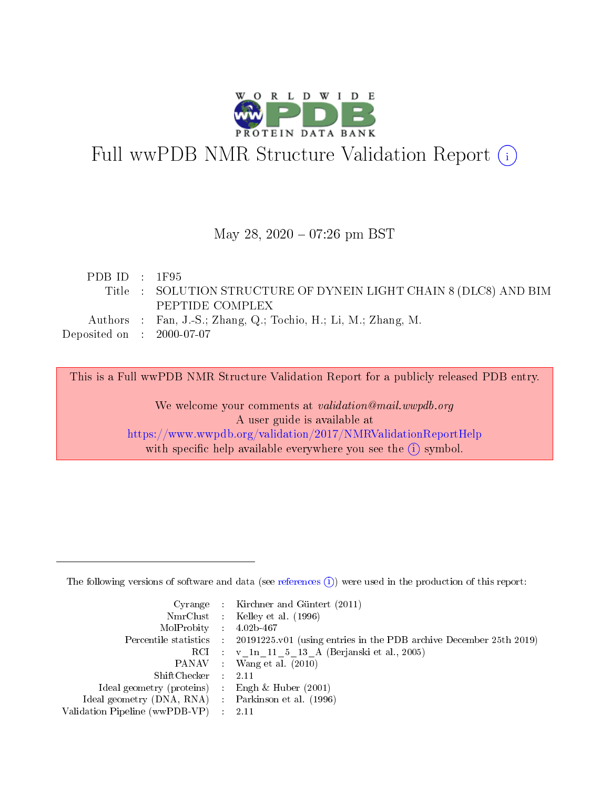

# Full wwPDB NMR Structure Validation Report (i)

### May 28, 2020 - 07:26 pm BST

| PDBID : 1F95                                                |                                                                   |
|-------------------------------------------------------------|-------------------------------------------------------------------|
|                                                             | Title : SOLUTION STRUCTURE OF DYNEIN LIGHT CHAIN 8 (DLC8) AND BIM |
|                                                             | PEPTIDE COMPLEX                                                   |
|                                                             | Authors : Fan, J.-S.; Zhang, Q.; Tochio, H.; Li, M.; Zhang, M.    |
| $\rm Deposited\; on \quad : \quad 2000\text{-}07\text{-}07$ |                                                                   |
|                                                             |                                                                   |

This is a Full wwPDB NMR Structure Validation Report for a publicly released PDB entry.

We welcome your comments at validation@mail.wwpdb.org A user guide is available at <https://www.wwpdb.org/validation/2017/NMRValidationReportHelp> with specific help available everywhere you see the  $(i)$  symbol.

The following versions of software and data (see [references](https://www.wwpdb.org/validation/2017/NMRValidationReportHelp#references)  $(1)$ ) were used in the production of this report:

|                                                    | Cyrange : Kirchner and Güntert $(2011)$                                                    |
|----------------------------------------------------|--------------------------------------------------------------------------------------------|
|                                                    | NmrClust : Kelley et al. (1996)                                                            |
| $MolProbability$ 4.02b-467                         |                                                                                            |
|                                                    | Percentile statistics : 20191225.v01 (using entries in the PDB archive December 25th 2019) |
|                                                    | RCI : v 1n 11 5 13 A (Berjanski et al., 2005)                                              |
|                                                    | PANAV Wang et al. (2010)                                                                   |
| $ShiftChecker$ : 2.11                              |                                                                                            |
| Ideal geometry (proteins) : Engh $\&$ Huber (2001) |                                                                                            |
| Ideal geometry (DNA, RNA) Parkinson et al. (1996)  |                                                                                            |
| Validation Pipeline (wwPDB-VP)                     | 2.11                                                                                       |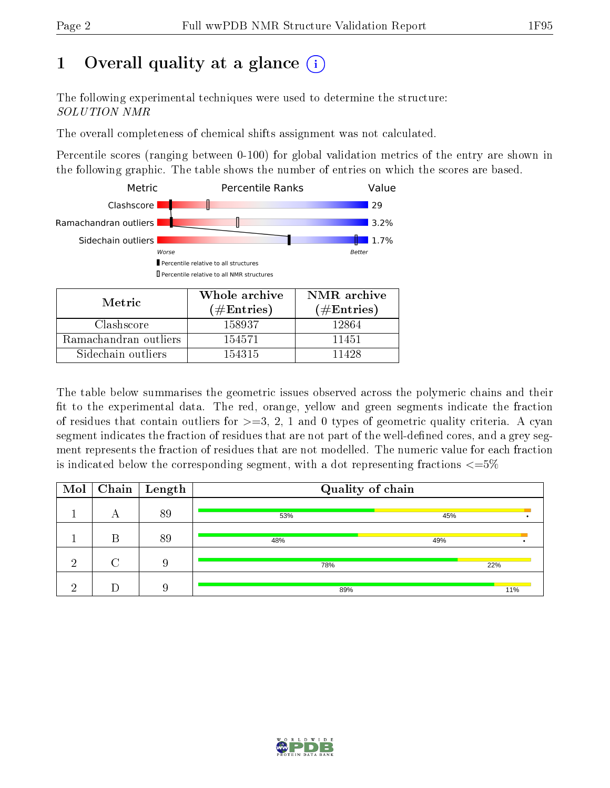## 1 [O](https://www.wwpdb.org/validation/2017/NMRValidationReportHelp#overall_quality)verall quality at a glance (i)

The following experimental techniques were used to determine the structure: SOLUTION NMR

The overall completeness of chemical shifts assignment was not calculated.

Percentile scores (ranging between 0-100) for global validation metrics of the entry are shown in the following graphic. The table shows the number of entries on which the scores are based.



Sidechain outliers 154315 11428

The table below summarises the geometric issues observed across the polymeric chains and their fit to the experimental data. The red, orange, yellow and green segments indicate the fraction of residues that contain outliers for  $>=$  3, 2, 1 and 0 types of geometric quality criteria. A cyan segment indicates the fraction of residues that are not part of the well-defined cores, and a grey segment represents the fraction of residues that are not modelled. The numeric value for each fraction is indicated below the corresponding segment, with a dot representing fractions  $\epsilon = 5\%$ 

| $\bf{Mol}$ |   | $\boxed{\text{Chain}}$ Length | Quality of chain |     |  |
|------------|---|-------------------------------|------------------|-----|--|
|            | А | 89                            | 53%              | 45% |  |
|            | В | 89                            | 48%              | 49% |  |
| ച          |   | 9                             | 78%              | 22% |  |
|            |   |                               | 89%              | 11% |  |

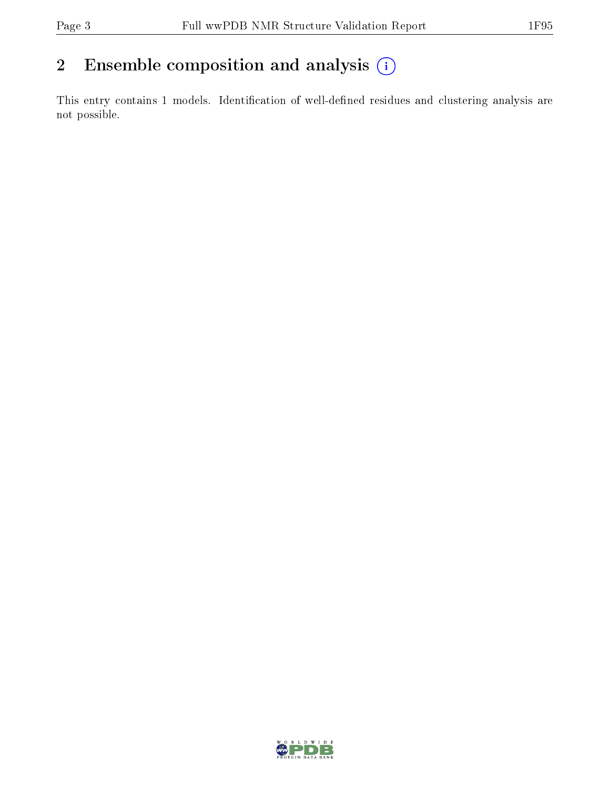## 2 Ensemble composition and analysis  $(i)$

This entry contains 1 models. Identification of well-defined residues and clustering analysis are not possible.

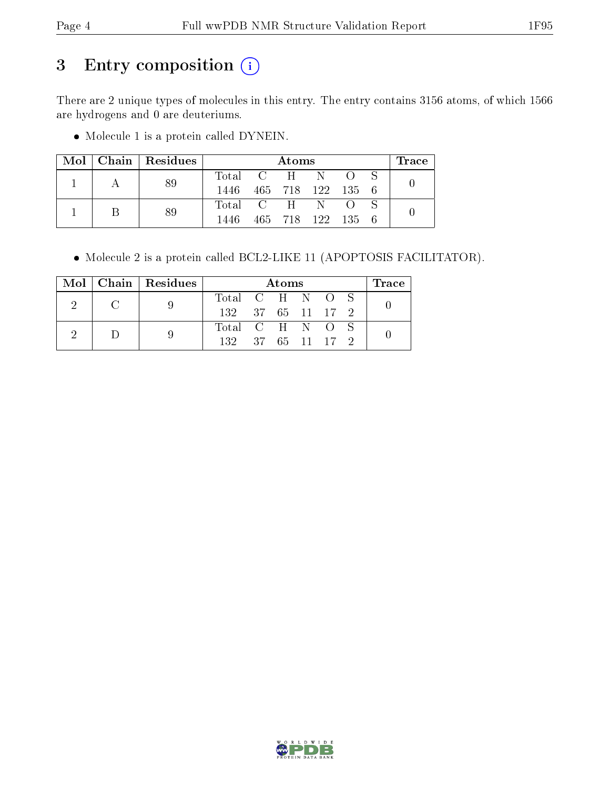## 3 Entry composition (i)

There are 2 unique types of molecules in this entry. The entry contains 3156 atoms, of which 1566 are hydrogens and 0 are deuteriums.

Molecule 1 is a protein called DYNEIN.

| Mol | Chain   Residues |                 | Atoms |  |                   |  | $\operatorname{Trace}$ |
|-----|------------------|-----------------|-------|--|-------------------|--|------------------------|
|     |                  | Total C H N O S |       |  |                   |  |                        |
|     | 89               | 1446            |       |  | 465 718 122 135 6 |  |                        |
|     | 89               | Total C H N O   |       |  |                   |  |                        |
|     |                  | 1446            |       |  | 465 718 122 135   |  |                        |

Molecule 2 is a protein called BCL2-LIKE 11 (APOPTOSIS FACILITATOR).

|  | $Mol$   Chain   Residues |                   | Atoms |  |  |  | Trace |
|--|--------------------------|-------------------|-------|--|--|--|-------|
|  |                          | Total C H N O S   |       |  |  |  |       |
|  |                          | 132 37 65 11 17 2 |       |  |  |  |       |
|  |                          | Total C H N O S   |       |  |  |  |       |
|  |                          | 132 37 65 11 17 2 |       |  |  |  |       |

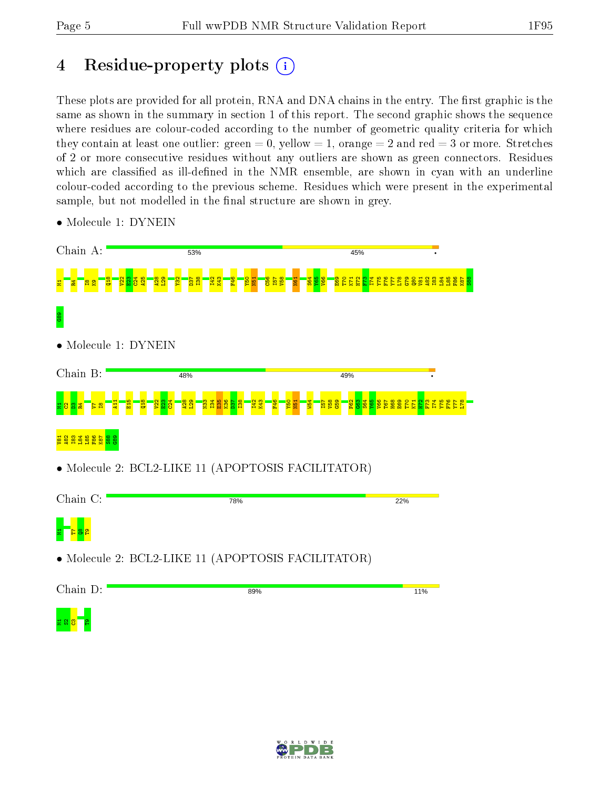## 4 Residue-property plots  $\binom{1}{1}$

These plots are provided for all protein, RNA and DNA chains in the entry. The first graphic is the same as shown in the summary in section 1 of this report. The second graphic shows the sequence where residues are colour-coded according to the number of geometric quality criteria for which they contain at least one outlier: green  $= 0$ , yellow  $= 1$ , orange  $= 2$  and red  $= 3$  or more. Stretches of 2 or more consecutive residues without any outliers are shown as green connectors. Residues which are classified as ill-defined in the NMR ensemble, are shown in cyan with an underline colour-coded according to the previous scheme. Residues which were present in the experimental sample, but not modelled in the final structure are shown in grey.



• Molecule 1: DYNEIN

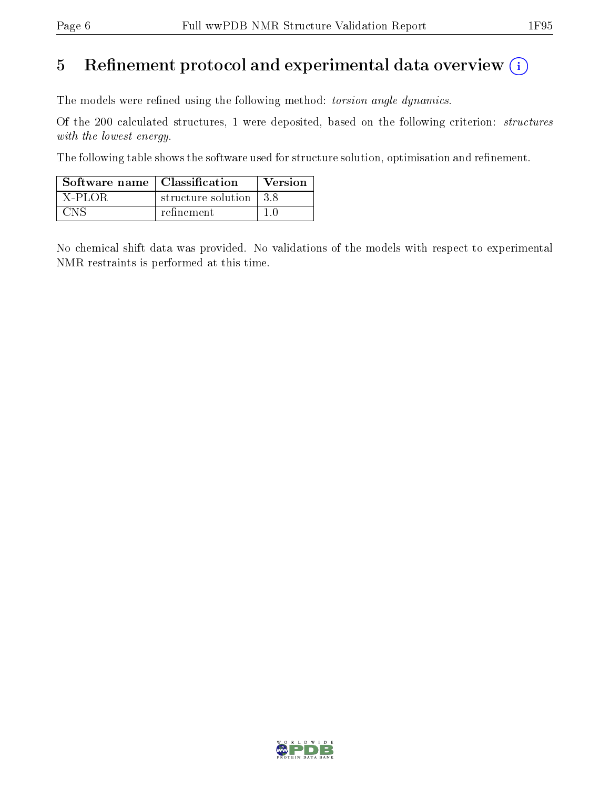## 5 Refinement protocol and experimental data overview  $(i)$

The models were refined using the following method: torsion angle dynamics.

Of the 200 calculated structures, 1 were deposited, based on the following criterion: structures with the lowest energy.

The following table shows the software used for structure solution, optimisation and refinement.

| Software name   Classification |                          | Version |
|--------------------------------|--------------------------|---------|
| $X-PLOR$                       | structure solution   3.8 |         |
| UN 5                           | refinement               |         |

No chemical shift data was provided. No validations of the models with respect to experimental NMR restraints is performed at this time.

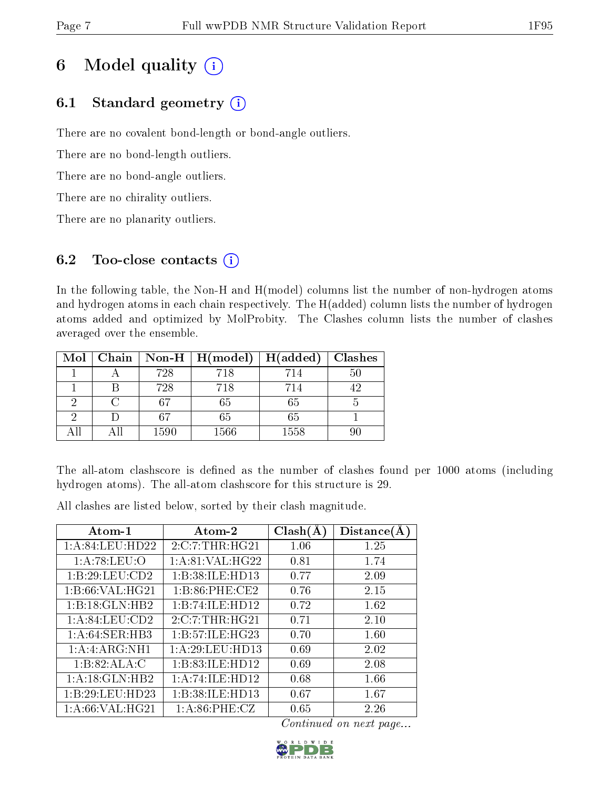## 6 Model quality  $(i)$

## 6.1 Standard geometry  $(i)$

There are no covalent bond-length or bond-angle outliers.

There are no bond-length outliers.

There are no bond-angle outliers.

There are no chirality outliers.

There are no planarity outliers.

## 6.2 Too-close contacts  $(i)$

In the following table, the Non-H and H(model) columns list the number of non-hydrogen atoms and hydrogen atoms in each chain respectively. The H(added) column lists the number of hydrogen atoms added and optimized by MolProbity. The Clashes column lists the number of clashes averaged over the ensemble.

| Mol | Chain |      | Non-H $\mid$ H(model) | H(added) | Clashes |
|-----|-------|------|-----------------------|----------|---------|
|     |       | 728  | 718                   | 714      |         |
|     |       | 728  | 718                   | 714      |         |
| റ   |       | 67   | 65                    | 65       |         |
| റ   |       | 67   | 65                    | 65       |         |
|     |       | 1590 | 1566                  | 1558     |         |

The all-atom clashscore is defined as the number of clashes found per 1000 atoms (including hydrogen atoms). The all-atom clashscore for this structure is 29.

All clashes are listed below, sorted by their clash magnitude.

| $\rm{Atom\text{-}1}$ | Atom-2           | $\overline{\text{Clash}}(\text{A})$ | Distance(A) |
|----------------------|------------------|-------------------------------------|-------------|
| 1: A:84:LEU:HD22     | 2:C:7:THR:HG21   | 1.06                                | 1.25        |
| 1: A:78:LEU:O        | 1: A:81:VAL:HG22 | 0.81                                | 1.74        |
| 1:B:29:LEU:CD2       | 1:B:38:ILE:HD13  | 0.77                                | 2.09        |
| 1: B:66: VAL:HG21    | 1:B:86:PHE:CE2   | 0.76                                | 2.15        |
| 1:B:18:GLN:HB2       | 1:B:74:ILE:HD12  | 0.72                                | 1.62        |
| 1:A:84:LEU:CD2       | 2:C:7:THR:HG21   | 0.71                                | 2.10        |
| 1: A:64:SER:HB3      | 1:B:57:ILE:HG23  | 0.70                                | 1.60        |
| 1:A:ARG:NH1          | 1:A:29:LEU:HD13  | 0.69                                | 2.02        |
| 1:B:82:ALA:C         | 1:B:83:ILE:HD12  | 0.69                                | 2.08        |
| 1:A:18:GLN:HB2       | 1:A:74:ILE:HD12  | 0.68                                | 1.66        |
| 1:B:29:LEU:HD23      | 1:B:38:ILE:HD13  | 0.67                                | 1.67        |
| 1: A:66: VAL:HG21    | 1: A:86:PHE:CZ   | 0.65                                | 2.26        |

Continued on next page...

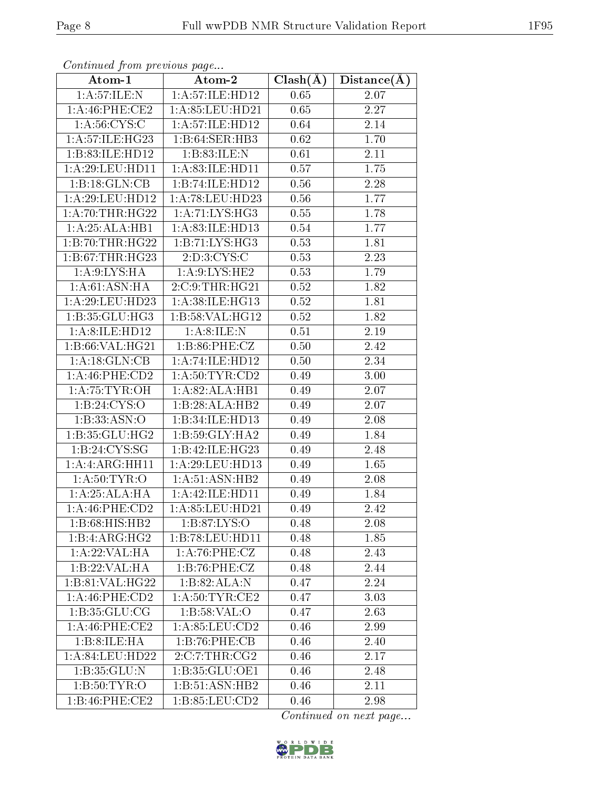| Atom-1                | Atom-2             | $Clash(\AA)$ | Distance(A) |
|-----------------------|--------------------|--------------|-------------|
| 1: A:57: ILE:N        | 1:A:57:ILE:HD12    | 0.65         | 2.07        |
| $1: A:46:$ PHE:CE2    | 1: A:85:LEU:HD21   | 0.65         | 2.27        |
| 1: A:56:CYS:C         | 1:A:57:ILE:HD12    | 0.64         | 2.14        |
| 1: A:57: ILE: HG23    | 1:B:64:SER:HB3     | 0.62         | 1.70        |
| 1:B:83:ILE:HD12       | 1:B:83:ILE:N       | 0.61         | 2.11        |
| 1: A:29:LEU:HD11      | 1: A:83: ILE: HD11 | 0.57         | 1.75        |
| 1:B:18:GLN:CB         | 1:B:74:ILE:HDI2    | 0.56         | 2.28        |
| 1: A:29:LEU:HD12      | 1: A:78: LEU: HD23 | 0.56         | 1.77        |
| 1: A:70:THR:HG22      | 1: A: 71: LYS: HG3 | 0.55         | 1.78        |
| 1:A:25:ALA:HB1        | 1: A:83: ILE: HD13 | 0.54         | 1.77        |
| 1:B:70:THR:HG22       | 1:B:71:LYS:HG3     | 0.53         | 1.81        |
| 1: B:67:THR:HG23      | 2:D:3:CYS:C        | 0.53         | 2.23        |
| 1: A:9: LYS: HA       | 1: A:9: LYS: HE2   | 0.53         | 1.79        |
| 1: A:61: ASN: HA      | 2:C:9:THR:HG21     | 0.52         | 1.82        |
| 1: A:29:LEU:HD23      | 1: A:38: ILE: HG13 | 0.52         | 1.81        |
| 1:B:35:GLU:HG3        | 1: B:58: VAL:HG12  | 0.52         | 1.82        |
| 1: A:8: ILE: HD12     | 1: A:8: ILE:N      | 0.51         | 2.19        |
| 1:B:66:VAL:HG21       | 1:B:86:PHE:CZ      | 0.50         | 2.42        |
| 1:A:18:GLN:CB         | 1:A:74:ILE:HD12    | 0.50         | 2.34        |
| 1: A:46:PHE:CD2       | 1: A:50:TYR:CD2    | 0.49         | 3.00        |
| 1: A:75:TYR:OH        | 1: A:82: ALA:HB1   | 0.49         | 2.07        |
| 1: B: 24: CYS:O       | 1:B:28:ALA:HB2     | 0.49         | 2.07        |
| 1:B:33:ASN:O          | 1:B:34:ILE:HD13    | 0.49         | 2.08        |
| 1:B:35:GLU:HG2        | 1:B:59:GLY:HA2     | 0.49         | 1.84        |
| 1:B:24:CYS:SG         | 1:B:42:ILE:HG23    | 0.49         | 2.48        |
| 1:A:ARG:HH11          | 1:A:29:LEU:HD13    | 0.49         | 1.65        |
| 1: A:50: TYR:O        | 1: A:51: ASN:HB2   | 0.49         | 2.08        |
| 1:A:25:ALA:HA         | 1:A:42:ILE:HD11    | 0.49         | 1.84        |
| $1: A:46:$ PHE: $CD2$ | 1: A:85:LEU:HD21   | 0.49         | 2.42        |
| 1:B:68:HIS:HB2        | 1: B:87: LYS:O     | 0.48         | 2.08        |
| 1:B:4:ARG:HG2         | 1:B:78:LEU:HD11    | 0.48         | 1.85        |
| 1:A:22:VAL:HA         | 1: A:76:PHE: CZ    | 0.48         | 2.43        |
| 1:B:22:VAL:HA         | 1:B:76:PHE:CZ      | 0.48         | 2.44        |
| 1:B:81:VAL:HG22       | 1:B:82:ALA:N       | 0.47         | 2.24        |
| 1: A:46: PHE:CD2      | 1: A:50:TYR:CE2    | 0.47         | 3.03        |
| 1: B: 35: GLU: CG     | 1: B:58: VAL:O     | 0.47         | 2.63        |
| $1: A:46:$ PHE:CE2    | 1: A:85:LEU:CD2    | 0.46         | 2.99        |
| 1:B:8:ILE:HA          | 1:B:76:PHE:CB      | 0.46         | 2.40        |
| 1:A:84:LEU:HD22       | 2:C:7:THR:CG2      | 0.46         | 2.17        |
| 1: B:35: GLU:N        | 1:B:35:GLU:OE1     | 0.46         | 2.48        |
| 1: B:50: TYR:O        | 1:B:51:ASN:HB2     | 0.46         | 2.11        |
| 1:B:46:PHE:CE2        | 1:B:85:LEU:CD2     | 0.46         | 2.98        |

Continued from previous page...

Continued on next page...

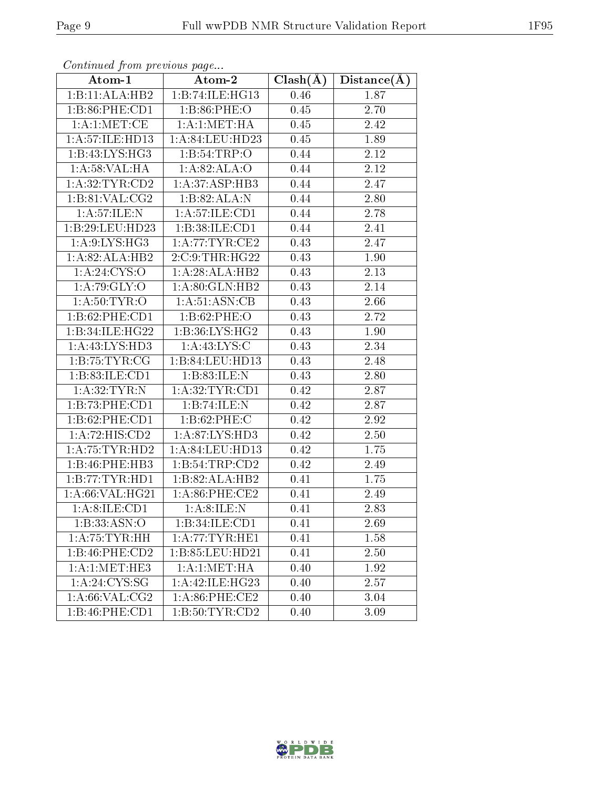| Atom-1                      | $\bold{Atom\text{-}2}$      | $Clash(\AA)$      | Distance(A)       |
|-----------------------------|-----------------------------|-------------------|-------------------|
| 1:B:11:ALA:HB2              | 1:B:74:ILE:HG13             | 0.46              | 1.87              |
| 1: B:86: PHE:CD1            | 1: B:86: PHE:O              | 0.45              | 2.70              |
| 1: A:1: MET:CE              | 1: A:1: MET:HA              | 0.45              | 2.42              |
| 1: A:57: ILE: HD13          | 1:A:84:LEU:HD23             | 0.45              | 1.89              |
| 1:B:43:LYS:HG3              | 1:B:54:TRP:O                | 0.44              | 2.12              |
| 1: A:58: VAL:HA             | 1:A:82:ALA:O                | 0.44              | 2.12              |
| 1: A:32:TYR:CD2             | 1: A:37:ASP:HB3             | 0.44              | 2.47              |
| 1: B:81: VAL:CG2            | 1:B:82:ALA:N                | 0.44              | 2.80              |
| 1: A:57: ILE:N              | 1: A: 57: ILE: CD1          | 0.44              | 2.78              |
| 1:B:29:LEU:HD23             | 1:B:38:ILE:CD1              | 0.44              | 2.41              |
| 1: A:9: LYS: HG3            | 1: A:77:TYR:CE2             | 0.43              | 2.47              |
| 1:A:82:ALA:HB2              | 2:C:9:THR:HG22              | 0.43              | 1.90              |
| 1: A:24: CYS:O              | 1:A:28:ALA:HB2              | 0.43              | $\overline{2.13}$ |
| 1:A:79:GLY:O                | 1: A:80: GLN:HB2            | 0.43              | 2.14              |
| 1: A:50: TYR:O              | 1: A:51: ASN:CB             | 0.43              | 2.66              |
| 1:B:62:PHE:CD1              | 1:B:62:PHE:O                | 0.43              | 2.72              |
| 1:B:34:ILE:HG22             | 1:B:36:LYS:HG2              | 0.43              | 1.90              |
| 1:A:43:LYS:HD3              | 1: A:43: LYS: C             | 0.43              | 2.34              |
| 1: B:75:TYR:CG              | 1:B:84:LEU:HD13             | 0.43              | 2.48              |
| 1: B:83: ILE: CD1           | 1:B:83:ILE:N                | 0.43              | 2.80              |
| 1: A:32:TYR:N               | 1: A:32:TYR:CD1             | 0.42              | 2.87              |
| 1:B:73:PHE:CD1              | 1:B:74:ILE:N                | 0.42              | 2.87              |
| 1:B:62:PHE:CD1              | 1: B:62: PHE: C             | 0.42              | 2.92              |
| 1:A:72:HIS:CD2              | 1:A:87:LYS:HD3              | 0.42              | 2.50              |
| $1:$ A:75:TYR:HD2           | 1:A:84:LEU:HD13             | 0.42              | 1.75              |
| 1:B:46:PHE:HB3              | 1:B:54:TRP:CD2              | 0.42              | 2.49              |
| 1:B:77:TYR:HD1              | $1:B:82:A\overline{LA:HB2}$ | 0.41              | 1.75              |
| 1:A:66:VAL:HG21             | 1:A:86:PHE:CE2              | 0.41              | 2.49              |
| 1:A:8:ILE:CD1               | 1: A:8: ILE:N               | 0.41              | 2.83              |
| 1:B:33:ASN:O                | 1:B:34:ILE:CD1              | 0.41              | 2.69              |
| 1:A:75:TYR:HH               | 1: A:77:TYR:HE1             | 0.41              | 1.58              |
| $1:B:46:PHE:\overline{CD2}$ | 1:B:85:LEU:HD21             | $0.\overline{41}$ | 2.50              |
| 1: A:1: MET:HE3             | 1: A: 1: MET: HA            | 0.40              | 1.92              |
| 1: A:24:CYS:SG              | 1:A:42:ILE:HG23             | 0.40              | 2.57              |
| 1: A:66: VAL:CG2            | $1: A:86:$ PHE:CE2          | 0.40              | 3.04              |
| 1:B:46:PHE:CD1              | 1:B:50:TYR:CD2              | 0.40              | 3.09              |

Continued from previous page...

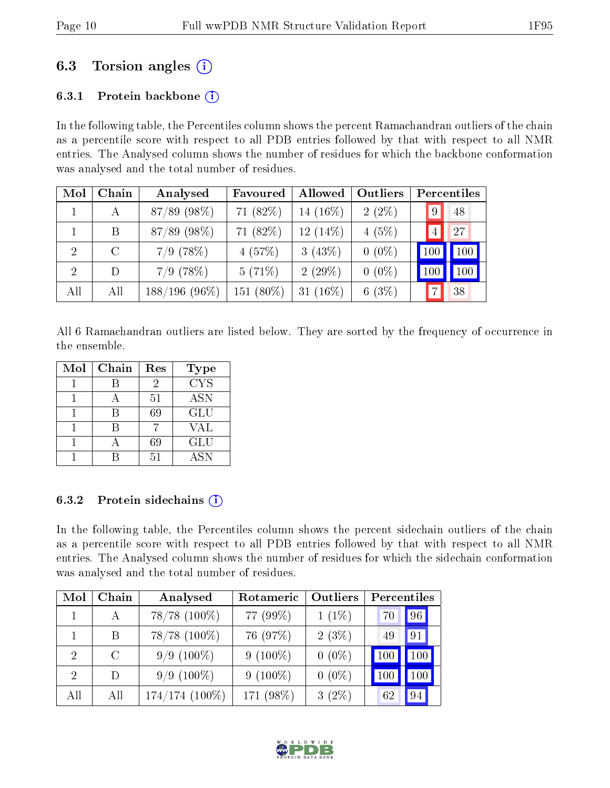## 6.3 Torsion angles (i)

### 6.3.1 Protein backbone  $(i)$

In the following table, the Percentiles column shows the percent Ramachandran outliers of the chain as a percentile score with respect to all PDB entries followed by that with respect to all NMR entries. The Analysed column shows the number of residues for which the backbone conformation was analysed and the total number of residues.

| Mol            | Chain   | Analysed        | Favoured        | Allowed        | Outliers | Percentiles     |
|----------------|---------|-----------------|-----------------|----------------|----------|-----------------|
|                | А       | 87/89 (98%)     | 71 (82%)        | 14 (16%)       | $2(2\%)$ | 48<br>$\vert 9$ |
|                | B       | 87/89 (98%)     | 71 (82%)        | $12(14\%)$     | 4(5%)    | 27              |
| $\overline{2}$ | $\rm C$ | $7/9$ $(78%)$   | 4(57%)          | $3(43\%)$      | $0(0\%)$ | 100<br>100      |
| $\overline{2}$ | D       | $7/9$ (78%)     | 5(71%)          | $2(29\%)$      | $0(0\%)$ | 100             |
| All            | All     | $188/196(96\%)$ | $(80\%)$<br>151 | $(16\%)$<br>31 | 6(3%)    | 38              |

All 6 Ramachandran outliers are listed below. They are sorted by the frequency of occurrence in the ensemble.

| Mol | Chain | Res | Type       |
|-----|-------|-----|------------|
|     |       | 2   | <b>CYS</b> |
|     |       | 51  | <b>ASN</b> |
|     |       | 69  | <b>GLU</b> |
|     |       |     | VAL        |
|     |       | 69  | <b>GLU</b> |
|     |       | 51  | <b>ASN</b> |

#### 6.3.2 Protein sidechains  $(i)$

In the following table, the Percentiles column shows the percent sidechain outliers of the chain as a percentile score with respect to all PDB entries followed by that with respect to all NMR entries. The Analysed column shows the number of residues for which the sidechain conformation was analysed and the total number of residues.

| Mol                         | Chain         | Analysed          | Rotameric  | Outliers | Percentiles |         |
|-----------------------------|---------------|-------------------|------------|----------|-------------|---------|
|                             | А             | $78/78$ $(100\%)$ | 77 (99%)   | $1(1\%)$ | 70          | 96      |
|                             | Β             | $78/78$ $(100\%)$ | 76 (97%)   | 2(3%)    | 49          | 91      |
| $\mathcal{D}_{\mathcal{L}}$ | $\mathcal{C}$ | $9/9(100\%)$      | $9(100\%)$ | $0(0\%)$ | 100         | 100     |
| $\mathcal{D}_{\mathcal{L}}$ | Ð             | $9/9(100\%)$      | $9(100\%)$ | $0(0\%)$ | 100         | $100\,$ |
| All                         | All           | $174/174(100\%)$  | 171 (98%)  | $3(2\%)$ | 62          | 94      |

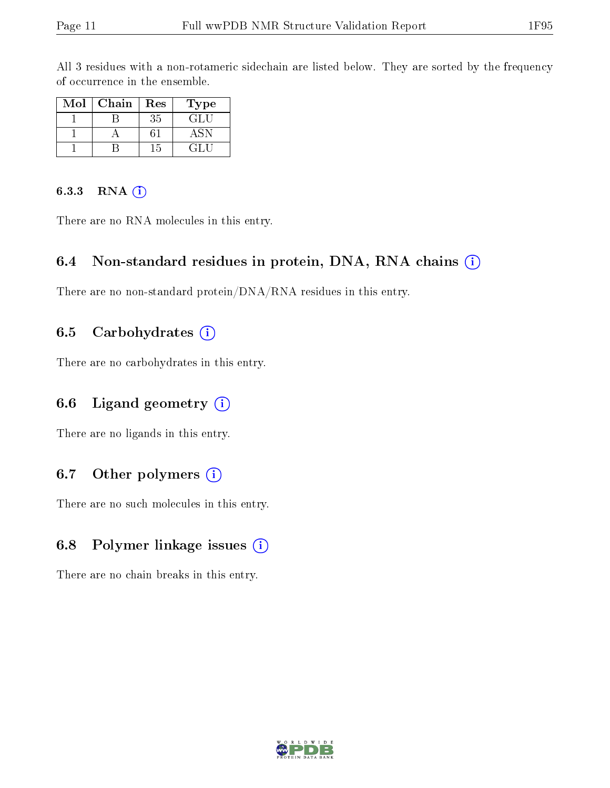All 3 residues with a non-rotameric sidechain are listed below. They are sorted by the frequency of occurrence in the ensemble.

| Mol | Chain | Res | Type   |
|-----|-------|-----|--------|
|     |       | 35  | GLI.   |
|     |       |     |        |
|     |       | 15  | 64 F.T |

#### 6.3.3 RNA (i)

There are no RNA molecules in this entry.

### 6.4 Non-standard residues in protein, DNA, RNA chains  $(i)$

There are no non-standard protein/DNA/RNA residues in this entry.

### 6.5 Carbohydrates  $(i)$

There are no carbohydrates in this entry.

### 6.6 Ligand geometry (i)

There are no ligands in this entry.

### 6.7 [O](https://www.wwpdb.org/validation/2017/NMRValidationReportHelp#nonstandard_residues_and_ligands)ther polymers (i)

There are no such molecules in this entry.

#### 6.8 Polymer linkage issues (i)

There are no chain breaks in this entry.